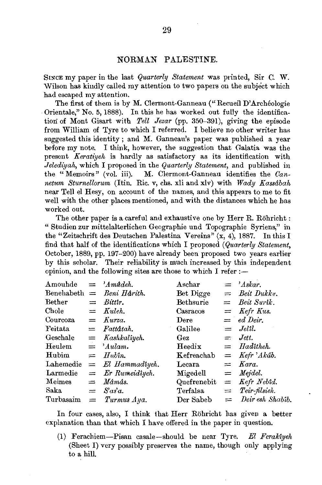### NORMAN PALESTINE.

SINCE my paper in the last Quarterly Statement was printed, Sir C. W. Wilson has kindly called my attention to two papers on the subject which had escaped my attention.

The first of them is by M. Clermont-Ganneau ("Recueil D'Archéologie Orientale," No. 5, 1888). In this he has worked out fully the identification of Mont Gisart with Tell Jezar (pp. 350-391), giving the episode from William of Tyre to which I referred. I believe no other writer has suggested this identity; and M. Ganneau's paper was published a year before my note. I think, however, the suggestion that Galatia was the present Kerativeh is hardly as satisfactory as its identification with Jelediyah, which I proposed in the Quarterly Statement, and published in the "Memoirs" (vol. iii). M. Clermont-Ganneau identifies the  $Can$ netum Sturnellorum (Itin. Ric. v, chs. xli and xlv) with Wady Kassábah near Tell el Hesy, on account of the names, and this appears to me to fit well with the other places mentioned, and with the distances which he has worked out.

The other paper is a careful and exhaustive one by Herr R. Röhricht: "Studien zur mittelalterlichen Geographie und Topographie Syriens," in the "Zeitschrift des Deutschen Palestina Vereins" (x, 4), 1887. In this I find that half of the identifications which I proposed (Quarterly Statement, October, 1889, pp. 197-200) have already been proposed two years earlier by this scholar. Their reliability is much increased by this independent opinion, and the following sites are those to which I refer :-

| Amouhde        |     | $=$ 'Amudeh.            | Aschar       | $= 'A skar.$        |
|----------------|-----|-------------------------|--------------|---------------------|
| Benehabeth $=$ |     | Beni Hârith.            | Bet Digge    | $=$ Beit Dukku.     |
| Bether         |     | $=$ Bittir.             | Bethsurie    | $=$ Beit Surik.     |
| ${\rm Choice}$ |     | $=$ Kuleh.              | Casracos     | $=$ Kefr Kus.       |
| Courcoza       |     | $=$ Kurza.              | Dere         | $=$ ed Deir.        |
| Feitata        |     | $=$ Fattatah.           | Galilee      | $=$ Jeltl.          |
| Geschale       |     | $=$ Kashkaliyeh.        | Gez          | $=$ Jett.           |
| Heulem         |     | $=$ 'Aulam.             | Heedix       | $=$ Hadîtheh.       |
| Hubim          |     | $=$ Hubîn.              | Kefreachab   | $=$ Kefr 'Akâb.     |
| Lahemedie      |     | $=$ El Hammadiyeh.      | $\rm Lecara$ | $= Kara.$           |
| Larmedie       |     | $= Er Rumeidiyeh.$      | Migedell     | $=$ Mejdel.         |
| Meimes         | $=$ | Mâmâs.                  | Quefrenebit  | $=$ Kefr Nebid.     |
| Saka           |     | $=$ Sas <sup>z</sup> a. | Terfalsa     | $=$ Teir-filsieh.   |
| Turbasaim      | $=$ | Turmus Aya.             | Der Sabeb    | $=$ Deir esh Shabîb |
|                |     |                         |              |                     |

In four cases, also, I think that Herr Röhricht has given a better explanation than that which I have offered in the paper in question.

(1) Ferachiem-Pisan casale-should be near Tyre. El Ferakîveh (Sheet I) very possibly preserves the name, though only applying to a hill.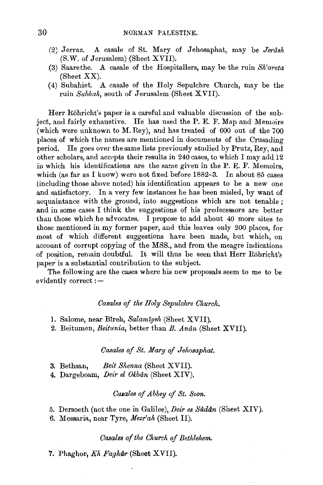- 12) J erraz. A casale of St. Mary of J ehosaphat, may be *Jerush*  (S.W. of Jerusalem) (Sheet XVII).
- (3) Saarethe. A casale of the Hospitallers, may be the ruin *Sh'areta*  (Sheet XX).
- (4) Subahiet. A casale of the Holy Sepulchre Church, may be the ruin Subhah, south of Jerusalem (Sheet XVII).

Herr Röhricht's paper is a careful and valuable discussion of the subject, and fairly exhaustive. He has used the P. E. F. Map and Memoirs (which were unknown to M. Rey), and has treated of 600 out of the 700 places of which the names are mentioned in documents of the Crusading period. He goes over the same lists previously studied by Prutz, Rey, and other scholars, and accepts their results in 240 cases, to which I may add 12 in which his identifications are the same given in the P. E. F. Memoirs, which (as far as I know) were not fixed before 1882-3. In about 85 cases (including those above noted) his identification appears to be a new one and satisfactory. In a very few instances he has been misled, by want of acquaintance with the ground, into suggestions which are not tenable ; and in some cases I think the suggestions of his predecessors are better than those which he advocates. I propose to add about 40 more sites to those mentioned in my former paper, and this leaves only 200 places, for most of which different suggestions have been made, but which, on account of corrupt copying of the MSS., and from the meagre indications of position, remain doubtful. It will thus be seen that Herr Röhricht's paper is a substantial contribution to the subject.

The following are the cases where his new proposals seem to me to be evidently correct : -

### *Casales of the Holy Sepulchre Church.*

- I. Salome, near Bireh, *Salamiyeh* (Sheet XVII).
- 2. Beitumen, *Beitunia,* better than *B. Anun* (Sheet XVII).

## *Casales of St. Nary of Jehosaphat.*

- 3. Bethsan, *Beit Shenna* (Sheet XVII).
- 4. Dargeboam, *Deir el Okbân* (Sheet XIV).

### *Ccuales of Abbey of St. &on.*

# 5. Dersoeth (not the one in Galilee), *Deir es Sadan* (Sheet XIV).

6. Messaria, near Tyre, *Nezr'ah* (Sheet II).

## *Casales of the Church of Bethlehem.*

7. Phaghor, *Kh Faghar* (Sheet XVII).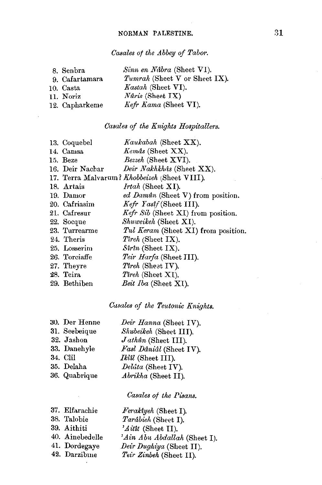# Casales of the Abbey of Tabor.

| 8. Senbra      | Sinn en Nábra (Sheet VI).     |
|----------------|-------------------------------|
| 9. Cafartamara | Tumrah (Sheet V or Sheet IX). |
| 10. Casta      | Kastah (Sheet VI).            |
| 11. Noriz      | <i>Nuris</i> (Sheet $IX$ )    |
| 12. Capharkeme | Kefr Kama (Sheet VI).         |
|                |                               |

# Casales of the Knights Hospitallers.

| 13. Coquebel    | Kaukabah (Sheet XX).                         |
|-----------------|----------------------------------------------|
| 14. Camsa       | Kemas (Sheet XX).                            |
| 15. Beze        | Bezzeh (Sheet XVI).                          |
| 16. Deir Nachar | Deir Nakhkhas (Sheet XX).                    |
|                 | 17. Terra Malvarum? Khobbeizeh (Sheet VIII). |
| 18. Artais      | <i>Irtah</i> (Sheet XI).                     |
| 19. Damor       | ed Damůn (Sheet V) from position.            |
| 20. Cafriasim   | Kefr Yastf (Sheet III).                      |
| 21. Cafresur    | Kefr Sib (Sheet XI) from position.           |
| 22. Socque      | Shuweikeh (Sheet XI).                        |
| 23. Turrearme   | Tul Keram (Sheet XI) from position.          |
| 24. Theris      | <i>Tireh</i> (Sheet IX).                     |
| 25. Losserim    | $Sirin$ (Sheet IX).                          |
| 26. Torciaffe   | Teir Harfa (Sheet III).                      |
| 27. Theyre      | Tireh (Sheet IV).                            |
| 28. Teira       | <i>Tireh</i> (Sheet XI).                     |
| 29. Bethiben    | Beit Iba (Sheet XI).                         |
|                 |                                              |

# Cusales of the Teutonic Knights.

| 30. Der Henne | Deir Hanna (Sheet IV).  |
|---------------|-------------------------|
| 31. Seebeique | Shubeikeh (Sheet III).  |
| 32. Jashon    | $J$ athûn (Sheet III).  |
| 33. Danehyle  | Fasl Dâniâl (Sheet IV). |
| 34. Clil      | Iklil (Sheet III).      |
| 35. Delaha    | Delúta (Sheet IV).      |
| 36. Quabrique | Abrikha (Sheet II).     |
|               |                         |

# Casales of the Pisans.

| 37. Elfarachie  | Feraktyeh (Sheet I).         |
|-----------------|------------------------------|
| 38. Talobie     | Tarâbieh (Sheet I).          |
| 39. Aithiti     | $'$ <i>A it (Sheet II).</i>  |
| 40. Ainebedelle | 'Ain Abu Abdallah (Sheet I). |
| 41. Dordegaye   | Deir Dughiya (Sheet II).     |
| 42. Darzibine   | Teir Zinbeh (Sheet II).      |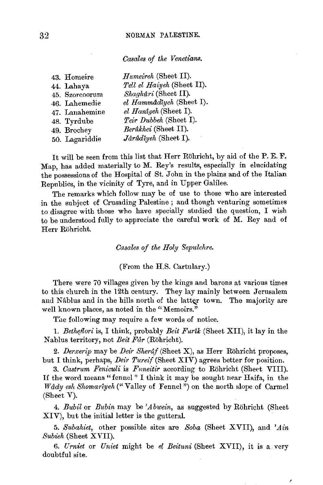*Casales of the Venetians.* 

| 43. Homeire    | $H$ umeireh (Sheet II).    |
|----------------|----------------------------|
| 44. Lahaya     | Tell el Haiyeh (Sheet II). |
| 45. Szorcoorum | Shaghûri (Sheet II).       |
| 46. Lahemedie  | el Hammâdîyeh (Sheet I).   |
| 47. Lanahemine | el Hantyeh (Sheet I).      |
| 48. Tyrdube    | Teir Dubbeh (Sheet I).     |
| 49. Brochey    | Berûkhei (Sheet II).       |
| 50. Lagariddie | Jårûdîyeh (Sheet I).       |

It will be seen from this list that Herr Rohricht, by aid of the P. E. F. Map, has added materially to M. Rey's results, especially in elucidating the possessions of the Hospital of St. John in the plains and of the Italian Republics, in the vicinity of Tyre, and in Upper Galilee.

The remarks which follow may be of use to those who are interested in the subject of Crusading Palestine ; and though venturing sometimes to disagree with those who have specially studied the question, I wish to be understood fully to appreciate the careful work of M. Rey and of Herr Rohricht.

*Casales of the Holy Sepulchre.* 

(From the H.S. Cartulary.)

There were 70 villages given by the kings and barons at various times to this church in the 12th century. They lay mainly between Jerusalem and Nâblus and in the hills north of the latter town. The majority are well known places, as noted in the "Memoirs."

The following may require a few words of notice.

1. *Betheflori* is, I think, probably *Beit Furtk* (Sheet XII), it lay in the Nablus territory, not *Beit Far* (Rohricht).

2. *Derxerip* may be *Deir Sheraf* (Sheet X), as Herr Röhricht proposes, but I think, perhaps, *Deir Tureif* (Sheet XIV) agrees better for position.

3. *Castrum Feniculi* is *Fnneitir* according to Rohricht (Sheet VIII). If the word means "fennel" I think it may be sought near Haifa, in the TV ddy *esh Shomarlyeh* ("Valley of Fennel") on the north slope of Carmel (Sheet V).

4. *Bubil* or *Bubin* may be *'Abwein,* as suggested by Rohricht (Sheet XIV), but the initial letter is the gutteral.

5. *Subahiet,* other possible sites are *Soba* (Sheet XVII), and *'Ain Subieh* (Sheet XVII).

6. *Urniet* or *Uniet* might be *el Beituni* (Sheet XVII), it is a very doubtful site.

Ŷ.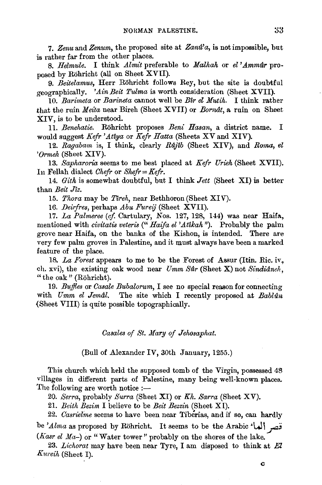7. Zenu and Zenum, the proposed site at Zanu'a, is not impossible, but is rather far from the other places.

8. *Helmule.* I think *Almit* preferable to *Malhah* or *el*'Ammur proposed by Rohricht (all on Sheet XVII).

9. *Beitelamus,* Herr Rohricht follows Rey, but the site is doubtful geographically. *'AinBeit Tulma* is worth consideration (Sheet XVII).

10. *Barimeta* or *Barineta* cannot well be *B'ir el Mutih*. I think rather that the ruin *Meita* near Bireh (Sheet XVII) or *BornAlt,* a. ruin on Sheet XIV, is to be understood.

11. *Benehatie.* Rohricht proposes *Beni Hasan,* a district name. I would suggest *Kefr 'Attya* or *Kefr Hatta* (Sheets XV and XIV).

12. *Ragabam* is, I think, clearly *Rajtb* (Sheet XIV), and *Roma, el 'Ormeh* (Sheet XIV).

13. *Sapharoria* seems to me best placed at *Kefr Urieh* (Sheet XVII). Iu Fellah dialect *Chefr* or *Shefr* = *Kefr.* 

14. *Gith* is somewhat doubtful, but I think *Jett* (Sheet XI) is better than *Beit Jtz.* 

15. *Thora* may be *Tlreh,* near Bethhoron (Sheet XIV).

16. *Deirfres,* perhaps *Abu Fureij* (Sheet XVII).

17. *La Palmeree (cf.* Cartulary, Nos. 127, 128, 144) was near Haifa., mentioned with *civitatis veteris* (" *Haifa el 'Attkah* "). Probably the palm grove near Haifa, on the banks of the Kishon, is intended. There are very few palm groves in Palestine, and it must always have been a marked feature of the place.

18. *La Forest* appears to me to be the Forest of Assur (Itin. Ric. iv, eh. xvi), the existing oak wood near *Umm Sar* (Sheet X) not *Sindianeh,*  " the oak " (Röhricht).

19. *Buifles* or *Casale Bubalorum,* I see no special reason for connecting with *Umm el Jemal.* The site which I recently proposed at *Bablan*  (Sheet VIII) is quite possible topographically.

*Casales of St. Mary of Jehosaphat.* 

(Bull of Alexander IV, 30th January, 1255.)

This church which held the supposed tomb of the Virgin, possessed 4B villages in different parts of Palestine, many being well-known places. The following are worth notice  $:$   $-$ 

20. *Serra,* probably *Surra* (Sheet XI) or *Kh. Sarra* (Sheet XV).

21. *Beith Bezim* I believe to be *Beit Bezzin* (Sheet XI).

22. *Casrielme* seems to have been near Tiberias, and if so, can hardly be *'Alma* as proposed by Rohricht. It seems to be the Arabic •W1 \_r:; (*Kasr el Ma*-) or "Water tower" probably on the shores of the lake.

23. *Lichorat* may have been near Tyre, I am disposed to think at El *Ku1·eih* (Sheet I).

*c*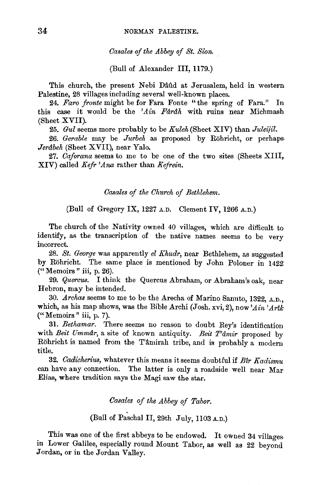*Casales of the Abbey of St. Sion.* 

(Bull of Alexander Ill, 1179.)

This church, the present Nebi Dâûd at Jerusalem, held in western Palestine, 28 villages including several well-known places.

24. *Faro fronte* might be for Fara Fonte "the spring of Fara." In this case it would be the *'Ain Fdrdh* with ruins near Michmash (Sheet XVII).

25. *Gul* seems more probably to be *Kuleh* (Sheet XIV) than *Juleijil.* 

26. *Gerable* may be *Jurbeh* as proposed by Rohricht, or perhaps· *Jerâbeh* (Sheet XVII), near Yalo.

27. *Caforana* seems to me to be one of the two sites (Sheets XIII, XIV) called *Kefr 'Ana* rather than *Kejrein.* 

*Casales of the Church of Bethlehmn.* 

# (Bull of Gregory IX, 1227 A.D. Clement IV, 1266 A.D.)

The church of the Nativity owned 40 villages, which are difficult to identify, as the transcription of the native names seems to be very incorrect.

28. *St. George* was apparently *el Khudr,* near Bethlehem, as suggested by Rohricht. The same place is mentioned by John Poloner in 1422' ("Memoirs " iii, p. 26).

29. *Quercus.* I think the Quercus Abraham, or Abraham's oak, near Hebron, may be intended.

30. *Archas* seems to me to be the Arecha of Marino Sanuto, 1322, A.D., which, as his map shows, was the Bible Archi (Josh. xvi, 2), now'Ain' Arik ("Memoirs " iii, p. 7).

31. *Bethamar.* There seems no reason to doubt Rey's identification with *Beit Ummdr*, a site of known antiquity. *Beit T'âmir* proposed by Röhricht is named from the T'âmirah tribe, and is probably a modern title.

32. *Cadicherius,* whatever this means it seems doubtful if *Btr Kadismu*  can have any connection. The latter is only a roadside well near Mar Elias, where tradition says the Magi saw the star.

*Casales of the Abbey of Tabor.* 

(Bull of Paschal II, 29th July, 1103 A.D.)

This was one of the first abbeys to be endowed. It owned 34 villages in Lower Galilee, especially round Mount Tabor, as well as 22 beyond Jordan, or in the Jordan Valley.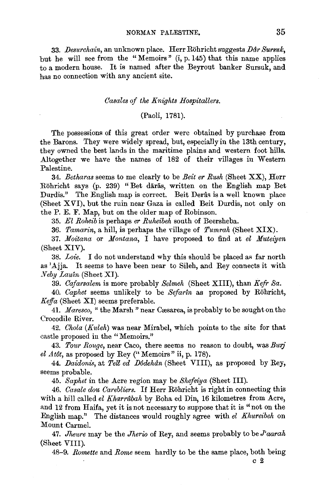33. *JJesurchain,* an unknown place. Herr Rohricht suggests *JJdr Swrsuk,*  but he will see from the "Memoirs" (i, p. 145) that this name applies to a modern house. It is named after the Beyrout banker Sursuk, and has no connection with any ancient site.

#### *Casales of the Knights Hospitallers.*

### (Paoli, 1781).

The possessions of this great order were obtained by purchase from the Barons. They were widely spread, but, especially in the 13th century, they owned the best lands in the maritime plains and western foot hills. Altogether we have the names of 182 of their villages in Western Palestine.

34. *Betharas* seems to me clearly to be *Beit er Rush* (Sheet XX), Herr Röhricht says (p. 239) "Bet dārās, written on the English map Bet Durdis." The English map is correct. Beit Derâs is a well known place (Sheet X VI), but the ruin near Gaza is called Beit Durdis, not only on the P. E. F. Map, but on the older map of Robinson.

35. *El Roheib* is perhaps *er Ruheibeh* south of Beersheba.

36. *Tamarin*, a hill, is perhaps the village of *Tumrah* (Sheet XIX).

37. Moitana or Montana, I have proposed to find at *el Muteiven* (Sheet XIV).

38. *Loie.* I do not understand why this should be placed as far north as 'Ajja. It seems to have been near to Sileh, and Rey connects it with *Neby Lauîn* (Sheet XI).

39. *Cajarsalem* is more probably *Selmeh* (Sheet XIII), than *Kefr Sa.* 

40. *Caphet* seems unlikely to be *Sefartn* as proposed by Rohricht, *Keffa* (Sheet XI) seems preferable.

41. *Maresco*, "the Marsh" near Cæsarea, is probably to be sought on the Crocodile River.

42. *Chola (Kuleh)* was near Mirabel, which points to the site for that castle proposed in the "Memoirs."

43. *Tmtr Range,* near Caco, there seems no reason to doubt, was *Burj el A tilt,* as proposed by Rey ("Memoirs" ii, p. 178).

44. Daidonis, at *Tell ed Dodehan* (Sheet VIII), as proposed by Rey, seems probable.

45. *Saphet* in the Acre region may be *Shefeiya* (Sheet Ill).

46. *Casale dou Carebliers.* If Herr Rohricht is right in connecting this with a hill called *el Kharrabah* by Boha ed Din, 16 kilometres from Acre, and 12 from Haifa, yet it is not necessary to suppose that it is "not on the English map." The distances would roughly agree with *el Khureibeh* on Mount Carmel.

47. Jheure may be the *Jherio* of Rey, and seems probably to be *J'aarah* (Sheet VIII).

48-9. *Romette* and *Rome* seem hardly to be the same place, both being

c 2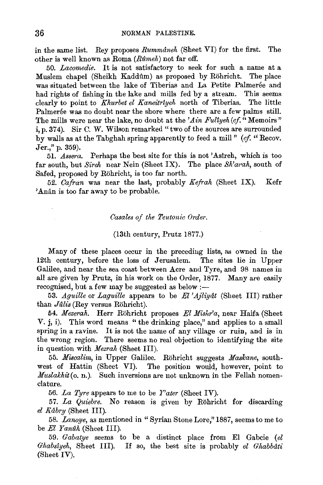in the same list. Rey proposes *Rummdneh* (Sheet VI) for the first. The other is well known as Roma (Rumeh) not far off.

50. *Lacomedie.* It is not satisfactory to seek for such a name at a Muslem chapel (Sheikh Kaddûm) as proposed by Röhricht. The place was situated between the lake of Tiberias and La Petite Palmerée and had rights of fishing in the lake and mills fed by a stream. This seems clearly to point to *Khurbet el Kaneitr1yeh* north of Tiberias. The little Palmerée was no doubt near the shore where there are a few palms still. The mills were near the lake, no doubt at the 'Ain Fullyeh (cf.  $\alpha$  Memoirs" i, p. 374). Sir C. W. Wilson remarked "two of the sources are surrounded by walls as at the Tabghah spring apparently to feed a mill" *(cf* "Recov. Jer.," p. 359).

51. *.Assera.* Perhaps the best site for this is not 'Asireh, which is too far south, but *Sireh* near Nein (Sheet IX). The place *Sh'arah,* south of Safed, proposed by Rohricht, is too far north.

52. *Cafran* was near the last, probably *Kefrah* (Sheet IX). Kefr 'Anân is too far away to be probable.

*Casales of the Teutonic Order.* 

### (13th century, Prutz 1877.)

Many of these places occur in the precediug lists, as owned in the 12th century, before the loss of Jerusalem. The sites lie in Upper Galilee, and near the sea coast between Acre and Tyre, and 98 names in all are given by Prutz, in his work on the Order, 1877. Many are easily recognised, but a few may be suggested as below:-

53 . *.Aguille* or *Laguille* appears to be *El '.Ajliydt* (Sheet Ill) rather than *Julis* (Rey versus Röhricht).

54. *Mezerah.* Herr Rohricht proposes *El Mishr'a,* near Haifa (Sheet V. j, i). This word means " the drinking place," and applies to a small spring in a ravine. It is not the name of any village or ruin, and is in the wrong region. There seems no real objection to identifying the site in question with *Mezrah* (Sheet Ill).

55. *Miscalim*, in Upper Galilee. Röhricht suggests Maskane, southwest of Hattin (Sheet VI). The position would, however, point to *Muslakhit* (o. n.). Such inversions are not unknown in the Fellah nomenclature.

56. *La Tyre* appears to me to be *Pater* (Sheet IV).

57. *La Quiebre.* No reason is given by Rohricht for discarding *el Kabr.y* (Sheet Ill).

58. *Lanoye*, as mentioned in "Syrian Stone Lore," 1887, seems to me to be *El Yanûh* (Sheet III).

59. *Gabatye* seems to be a distinct place from El Gabcie *(el Ghabs1yeh,* Sheet Ill). If so, the best site is probably *el Ghabbati*  (Sheet IV).